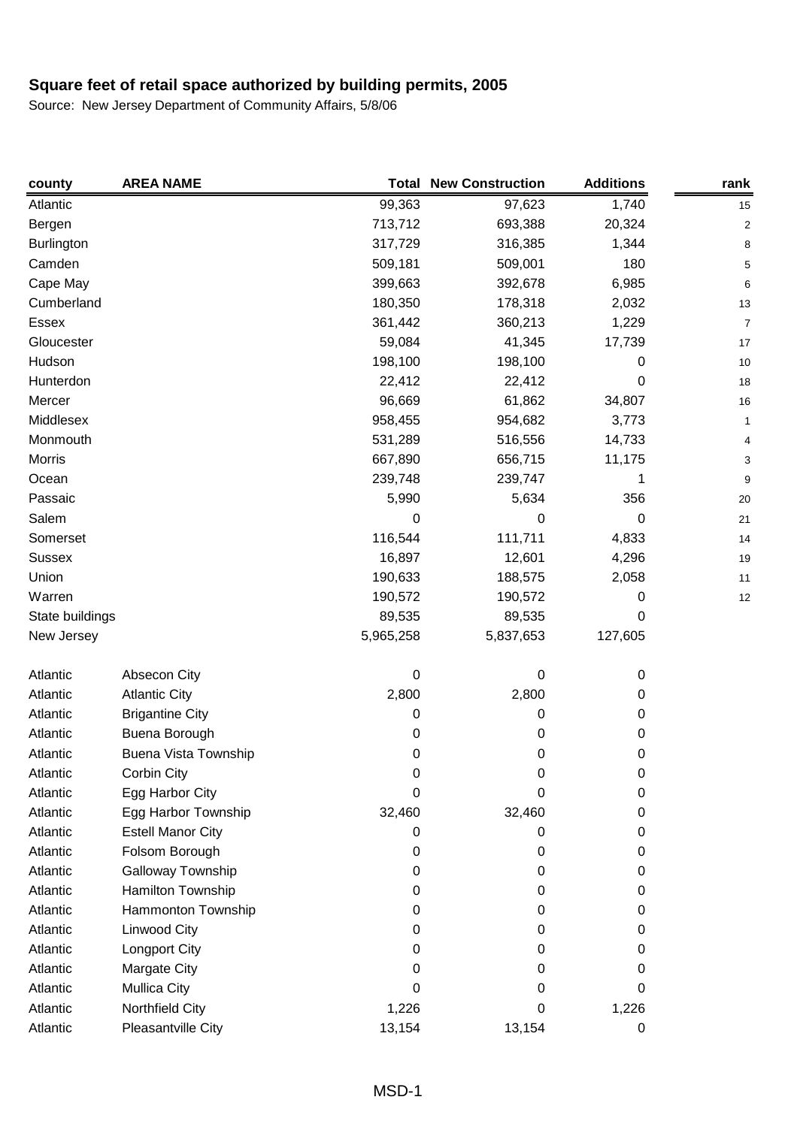| county          | <b>AREA NAME</b>         | Total     | <b>New Construction</b> | <b>Additions</b> | rank                    |
|-----------------|--------------------------|-----------|-------------------------|------------------|-------------------------|
| Atlantic        |                          | 99,363    | 97,623                  | 1,740            | 15                      |
| Bergen          |                          | 713,712   | 693,388                 | 20,324           | $\overline{\mathbf{c}}$ |
| Burlington      |                          | 317,729   | 316,385                 | 1,344            | 8                       |
| Camden          |                          | 509,181   | 509,001                 | 180              | 5                       |
| Cape May        |                          | 399,663   | 392,678                 | 6,985            | 6                       |
| Cumberland      |                          | 180,350   | 178,318                 | 2,032            | 13                      |
| Essex           |                          | 361,442   | 360,213                 | 1,229            | 7                       |
| Gloucester      |                          | 59,084    | 41,345                  | 17,739           | 17                      |
| Hudson          |                          | 198,100   | 198,100                 | 0                | 10                      |
| Hunterdon       |                          | 22,412    | 22,412                  | 0                | 18                      |
| Mercer          |                          | 96,669    | 61,862                  | 34,807           | 16                      |
| Middlesex       |                          | 958,455   | 954,682                 | 3,773            | 1                       |
| Monmouth        |                          | 531,289   | 516,556                 | 14,733           | 4                       |
| <b>Morris</b>   |                          | 667,890   | 656,715                 | 11,175           | 3                       |
| Ocean           |                          | 239,748   | 239,747                 | 1                | 9                       |
| Passaic         |                          | 5,990     | 5,634                   | 356              | 20                      |
| Salem           |                          | 0         | 0                       | 0                | 21                      |
| Somerset        |                          | 116,544   | 111,711                 | 4,833            | 14                      |
| <b>Sussex</b>   |                          | 16,897    | 12,601                  | 4,296            | 19                      |
| Union           |                          | 190,633   | 188,575                 | 2,058            | 11                      |
| Warren          |                          | 190,572   | 190,572                 | 0                | 12                      |
| State buildings |                          | 89,535    | 89,535                  | 0                |                         |
| New Jersey      |                          | 5,965,258 | 5,837,653               | 127,605          |                         |
| Atlantic        | Absecon City             | 0         | 0                       | 0                |                         |
| Atlantic        | <b>Atlantic City</b>     | 2,800     | 2,800                   | 0                |                         |
| Atlantic        | <b>Brigantine City</b>   | 0         | 0                       | 0                |                         |
| Atlantic        | Buena Borough            | 0         | 0                       | 0                |                         |
| Atlantic        | Buena Vista Township     | 0         | 0                       | 0                |                         |
| Atlantic        | Corbin City              | 0         | 0                       | 0                |                         |
| Atlantic        | Egg Harbor City          | 0         | 0                       | 0                |                         |
| Atlantic        | Egg Harbor Township      | 32,460    | 32,460                  | 0                |                         |
| Atlantic        | <b>Estell Manor City</b> | 0         | 0                       | 0                |                         |
| Atlantic        | Folsom Borough           | 0         | 0                       | 0                |                         |
| Atlantic        | Galloway Township        | 0         | 0                       | 0                |                         |
| Atlantic        | Hamilton Township        | 0         | 0                       | 0                |                         |
| Atlantic        | Hammonton Township       | 0         | 0                       | 0                |                         |
| Atlantic        | Linwood City             | 0         | 0                       | 0                |                         |
| Atlantic        | Longport City            | 0         | 0                       | 0                |                         |
| Atlantic        | Margate City             | 0         | 0                       | 0                |                         |
| Atlantic        | <b>Mullica City</b>      | 0         | 0                       | 0                |                         |
| Atlantic        | Northfield City          | 1,226     | 0                       | 1,226            |                         |
| Atlantic        | Pleasantville City       | 13,154    | 13,154                  | 0                |                         |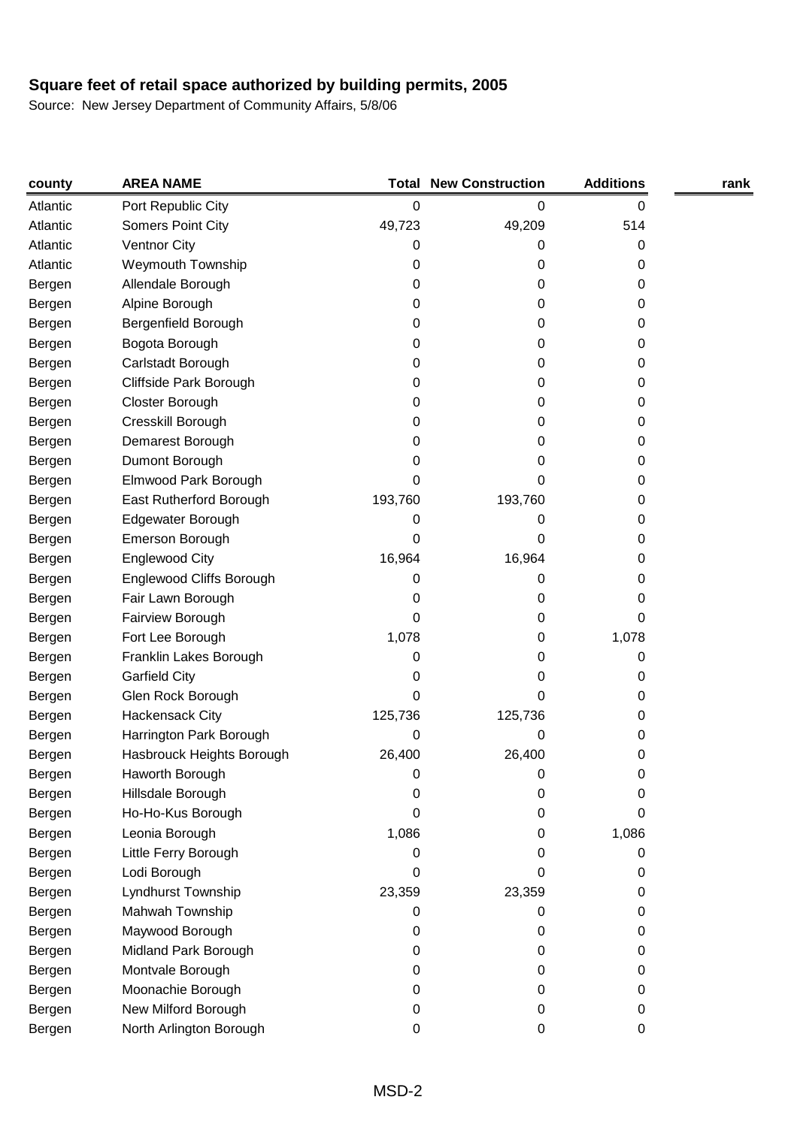| county   | <b>AREA NAME</b>          |         | <b>Total New Construction</b> | <b>Additions</b> | rank |
|----------|---------------------------|---------|-------------------------------|------------------|------|
| Atlantic | Port Republic City        | 0       | 0                             | 0                |      |
| Atlantic | Somers Point City         | 49,723  | 49,209                        | 514              |      |
| Atlantic | <b>Ventnor City</b>       | 0       | 0                             | 0                |      |
| Atlantic | <b>Weymouth Township</b>  | 0       | 0                             | 0                |      |
| Bergen   | Allendale Borough         | 0       | 0                             | 0                |      |
| Bergen   | Alpine Borough            | 0       | 0                             | 0                |      |
| Bergen   | Bergenfield Borough       | 0       | 0                             | 0                |      |
| Bergen   | Bogota Borough            | 0       | 0                             | 0                |      |
| Bergen   | Carlstadt Borough         | 0       | 0                             | 0                |      |
| Bergen   | Cliffside Park Borough    | 0       | 0                             | 0                |      |
| Bergen   | Closter Borough           | 0       | 0                             | 0                |      |
| Bergen   | Cresskill Borough         | 0       | 0                             | 0                |      |
| Bergen   | Demarest Borough          | 0       | 0                             | 0                |      |
| Bergen   | Dumont Borough            | 0       | 0                             | 0                |      |
| Bergen   | Elmwood Park Borough      | 0       | 0                             | 0                |      |
| Bergen   | East Rutherford Borough   | 193,760 | 193,760                       | 0                |      |
| Bergen   | Edgewater Borough         | 0       | 0                             | 0                |      |
| Bergen   | Emerson Borough           | 0       | 0                             | 0                |      |
| Bergen   | <b>Englewood City</b>     | 16,964  | 16,964                        | 0                |      |
| Bergen   | Englewood Cliffs Borough  | 0       | 0                             | 0                |      |
| Bergen   | Fair Lawn Borough         | 0       | 0                             | 0                |      |
| Bergen   | Fairview Borough          | 0       | 0                             | 0                |      |
| Bergen   | Fort Lee Borough          | 1,078   | 0                             | 1,078            |      |
| Bergen   | Franklin Lakes Borough    | 0       | 0                             | 0                |      |
| Bergen   | <b>Garfield City</b>      | 0       | 0                             | 0                |      |
| Bergen   | Glen Rock Borough         | 0       | 0                             | 0                |      |
| Bergen   | Hackensack City           | 125,736 | 125,736                       | 0                |      |
| Bergen   | Harrington Park Borough   | 0       | 0                             | 0                |      |
| Bergen   | Hasbrouck Heights Borough | 26,400  | 26,400                        | 0                |      |
| Bergen   | Haworth Borough           | 0       | 0                             | 0                |      |
| Bergen   | Hillsdale Borough         | 0       | 0                             | 0                |      |
| Bergen   | Ho-Ho-Kus Borough         | 0       | 0                             | 0                |      |
| Bergen   | Leonia Borough            | 1,086   | 0                             | 1,086            |      |
| Bergen   | Little Ferry Borough      | 0       | 0                             | 0                |      |
| Bergen   | Lodi Borough              | 0       | 0                             | 0                |      |
| Bergen   | Lyndhurst Township        | 23,359  | 23,359                        | 0                |      |
| Bergen   | Mahwah Township           | 0       | 0                             | 0                |      |
| Bergen   | Maywood Borough           | 0       | 0                             | 0                |      |
| Bergen   | Midland Park Borough      | 0       | 0                             | 0                |      |
| Bergen   | Montvale Borough          | 0       | 0                             | 0                |      |
| Bergen   | Moonachie Borough         | 0       | 0                             | 0                |      |
| Bergen   | New Milford Borough       | 0       | 0                             | 0                |      |
| Bergen   | North Arlington Borough   | 0       | 0                             | 0                |      |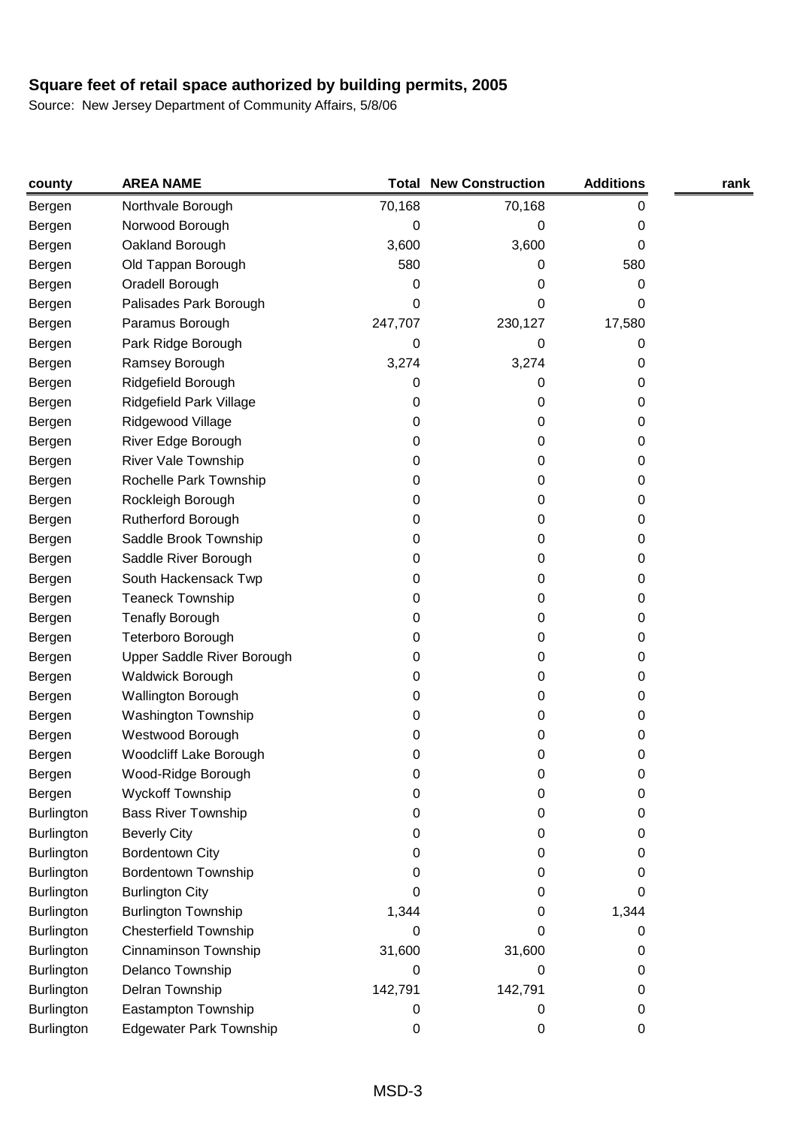| county            | <b>AREA NAME</b>               |         | <b>Total New Construction</b> | <b>Additions</b> | rank |
|-------------------|--------------------------------|---------|-------------------------------|------------------|------|
| Bergen            | Northvale Borough              | 70,168  | 70,168                        | 0                |      |
| Bergen            | Norwood Borough                | 0       | 0                             | 0                |      |
| Bergen            | Oakland Borough                | 3,600   | 3,600                         | 0                |      |
| Bergen            | Old Tappan Borough             | 580     | 0                             | 580              |      |
| Bergen            | Oradell Borough                | 0       | 0                             | 0                |      |
| Bergen            | Palisades Park Borough         | 0       | 0                             | 0                |      |
| Bergen            | Paramus Borough                | 247,707 | 230,127                       | 17,580           |      |
| Bergen            | Park Ridge Borough             | 0       | 0                             | 0                |      |
| Bergen            | Ramsey Borough                 | 3,274   | 3,274                         | 0                |      |
| Bergen            | Ridgefield Borough             | 0       | 0                             | 0                |      |
| Bergen            | Ridgefield Park Village        | 0       | 0                             | 0                |      |
| Bergen            | Ridgewood Village              | 0       | 0                             | 0                |      |
| Bergen            | River Edge Borough             | 0       | 0                             | 0                |      |
| Bergen            | River Vale Township            | 0       | 0                             | 0                |      |
| Bergen            | Rochelle Park Township         | 0       | 0                             | 0                |      |
| Bergen            | Rockleigh Borough              | 0       | 0                             | 0                |      |
| Bergen            | Rutherford Borough             | 0       | 0                             | 0                |      |
| Bergen            | Saddle Brook Township          | 0       | 0                             | 0                |      |
| Bergen            | Saddle River Borough           | 0       | 0                             | 0                |      |
| Bergen            | South Hackensack Twp           | 0       | 0                             | 0                |      |
| Bergen            | <b>Teaneck Township</b>        | 0       | 0                             | 0                |      |
| Bergen            | <b>Tenafly Borough</b>         | 0       | 0                             | 0                |      |
| Bergen            | Teterboro Borough              | 0       | 0                             | 0                |      |
| Bergen            | Upper Saddle River Borough     | 0       | 0                             | 0                |      |
| Bergen            | <b>Waldwick Borough</b>        | 0       | 0                             | 0                |      |
| Bergen            | Wallington Borough             | 0       | 0                             | 0                |      |
| Bergen            | Washington Township            | 0       | 0                             | 0                |      |
| Bergen            | Westwood Borough               | 0       | 0                             | 0                |      |
| Bergen            | Woodcliff Lake Borough         | 0       | 0                             | 0                |      |
| Bergen            | Wood-Ridge Borough             | 0       | 0                             | O                |      |
| Bergen            | <b>Wyckoff Township</b>        | 0       | 0                             | 0                |      |
| Burlington        | <b>Bass River Township</b>     | 0       | 0                             | 0                |      |
| <b>Burlington</b> | <b>Beverly City</b>            | 0       | 0                             | 0                |      |
| Burlington        | <b>Bordentown City</b>         | 0       | 0                             | 0                |      |
| Burlington        | <b>Bordentown Township</b>     | 0       | 0                             | 0                |      |
| Burlington        | <b>Burlington City</b>         | 0       | 0                             | 0                |      |
| <b>Burlington</b> | <b>Burlington Township</b>     | 1,344   | 0                             | 1,344            |      |
| Burlington        | <b>Chesterfield Township</b>   | 0       | 0                             | 0                |      |
| Burlington        | Cinnaminson Township           | 31,600  | 31,600                        | 0                |      |
| <b>Burlington</b> | Delanco Township               | 0       | 0                             | 0                |      |
| Burlington        | Delran Township                | 142,791 | 142,791                       | 0                |      |
| Burlington        | Eastampton Township            | 0       | 0                             | 0                |      |
| <b>Burlington</b> | <b>Edgewater Park Township</b> | 0       | 0                             | 0                |      |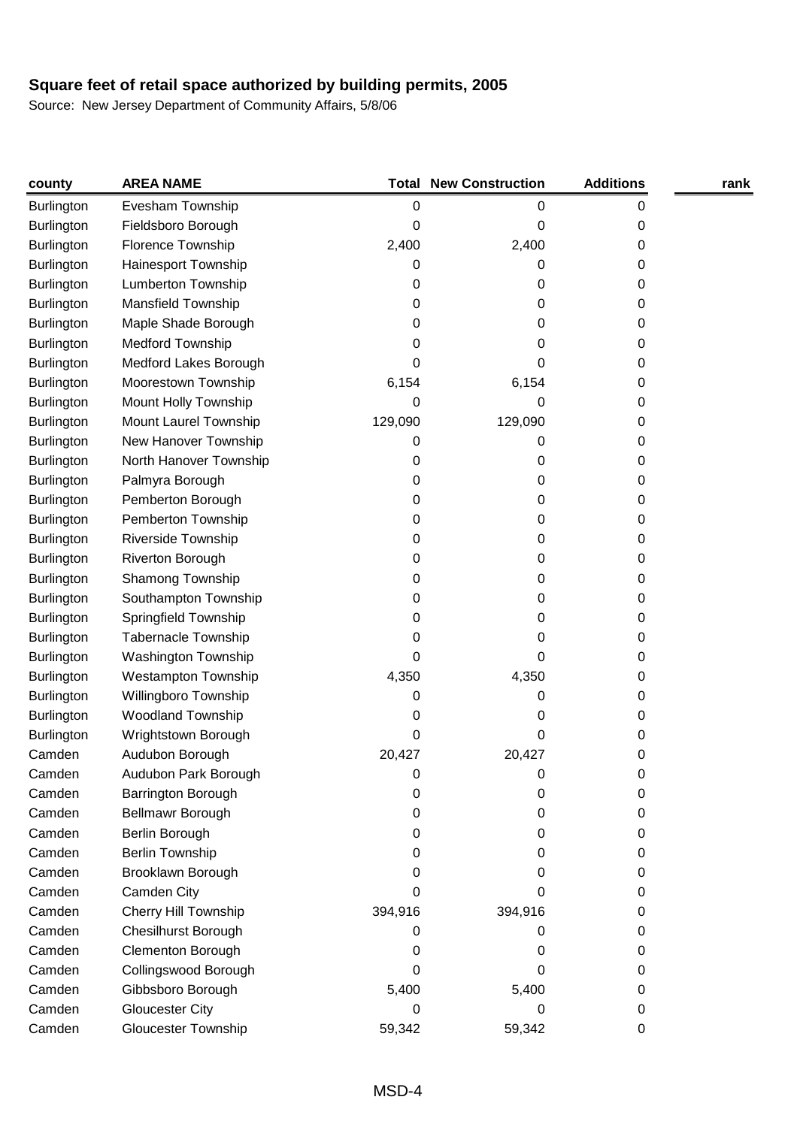| county            | <b>AREA NAME</b>            |         | <b>Total New Construction</b> | <b>Additions</b> | rank |
|-------------------|-----------------------------|---------|-------------------------------|------------------|------|
| <b>Burlington</b> | Evesham Township            | 0       | 0                             | 0                |      |
| Burlington        | Fieldsboro Borough          | 0       | 0                             | 0                |      |
| <b>Burlington</b> | Florence Township           | 2,400   | 2,400                         | 0                |      |
| Burlington        | Hainesport Township         | 0       | 0                             | 0                |      |
| Burlington        | Lumberton Township          | 0       | 0                             | 0                |      |
| <b>Burlington</b> | Mansfield Township          | 0       | 0                             | 0                |      |
| Burlington        | Maple Shade Borough         | 0       | 0                             | 0                |      |
| Burlington        | Medford Township            | 0       | 0                             | 0                |      |
| Burlington        | Medford Lakes Borough       | 0       | 0                             | 0                |      |
| Burlington        | Moorestown Township         | 6,154   | 6,154                         | 0                |      |
| Burlington        | Mount Holly Township        | 0       | 0                             | 0                |      |
| <b>Burlington</b> | Mount Laurel Township       | 129,090 | 129,090                       | 0                |      |
| <b>Burlington</b> | New Hanover Township        | 0       | 0                             | 0                |      |
| Burlington        | North Hanover Township      | 0       | 0                             | 0                |      |
| Burlington        | Palmyra Borough             | 0       | 0                             | 0                |      |
| Burlington        | Pemberton Borough           | 0       | 0                             | 0                |      |
| Burlington        | Pemberton Township          | 0       | 0                             | 0                |      |
| Burlington        | Riverside Township          | 0       | 0                             | 0                |      |
| Burlington        | Riverton Borough            | 0       | 0                             | 0                |      |
| Burlington        | Shamong Township            | 0       | 0                             | 0                |      |
| <b>Burlington</b> | Southampton Township        | 0       | 0                             | 0                |      |
| <b>Burlington</b> | Springfield Township        | 0       | 0                             | 0                |      |
| Burlington        | <b>Tabernacle Township</b>  | 0       | 0                             | 0                |      |
| Burlington        | Washington Township         | 0       | 0                             | 0                |      |
| <b>Burlington</b> | <b>Westampton Township</b>  | 4,350   | 4,350                         | 0                |      |
| Burlington        | Willingboro Township        | 0       | 0                             | 0                |      |
| Burlington        | <b>Woodland Township</b>    | 0       | 0                             | 0                |      |
| <b>Burlington</b> | Wrightstown Borough         | 0       | 0                             | 0                |      |
| Camden            | Audubon Borough             | 20,427  | 20,427                        | 0                |      |
| Camden            | Audubon Park Borough        | 0       | O                             | O                |      |
| Camden            | Barrington Borough          | 0       | 0                             | 0                |      |
| Camden            | Bellmawr Borough            | 0       | 0                             | 0                |      |
| Camden            | Berlin Borough              | 0       | 0                             | 0                |      |
| Camden            | <b>Berlin Township</b>      | 0       | 0                             | 0                |      |
| Camden            | Brooklawn Borough           | 0       | 0                             | 0                |      |
| Camden            | Camden City                 | 0       | 0                             | 0                |      |
| Camden            | <b>Cherry Hill Township</b> | 394,916 | 394,916                       | 0                |      |
| Camden            | <b>Chesilhurst Borough</b>  | 0       | 0                             | 0                |      |
| Camden            | <b>Clementon Borough</b>    | 0       | 0                             | 0                |      |
| Camden            | Collingswood Borough        | 0       | 0                             | 0                |      |
| Camden            | Gibbsboro Borough           | 5,400   | 5,400                         | 0                |      |
| Camden            | <b>Gloucester City</b>      | 0       | 0                             | 0                |      |
| Camden            | <b>Gloucester Township</b>  | 59,342  | 59,342                        | 0                |      |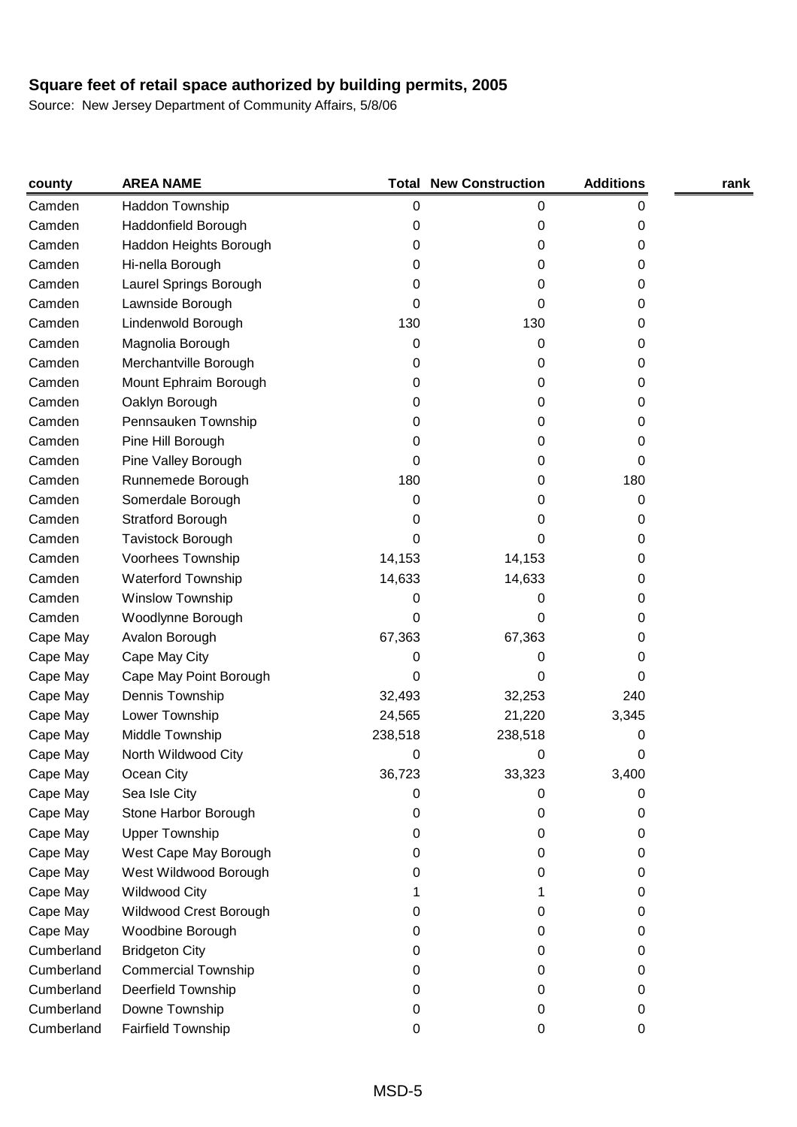| county     | <b>AREA NAME</b>           |         | <b>Total New Construction</b> | <b>Additions</b> | rank |
|------------|----------------------------|---------|-------------------------------|------------------|------|
| Camden     | Haddon Township            | 0       | 0                             | 0                |      |
| Camden     | Haddonfield Borough        | 0       | 0                             | 0                |      |
| Camden     | Haddon Heights Borough     | 0       | 0                             | 0                |      |
| Camden     | Hi-nella Borough           | 0       | 0                             | 0                |      |
| Camden     | Laurel Springs Borough     | 0       | 0                             | 0                |      |
| Camden     | Lawnside Borough           | 0       | 0                             | 0                |      |
| Camden     | Lindenwold Borough         | 130     | 130                           | 0                |      |
| Camden     | Magnolia Borough           | 0       | 0                             | 0                |      |
| Camden     | Merchantville Borough      | 0       | 0                             | 0                |      |
| Camden     | Mount Ephraim Borough      | 0       | 0                             | 0                |      |
| Camden     | Oaklyn Borough             | 0       | 0                             | 0                |      |
| Camden     | Pennsauken Township        | 0       | 0                             | 0                |      |
| Camden     | Pine Hill Borough          | 0       | 0                             | 0                |      |
| Camden     | Pine Valley Borough        | 0       | 0                             | 0                |      |
| Camden     | Runnemede Borough          | 180     | 0                             | 180              |      |
| Camden     | Somerdale Borough          | 0       | 0                             | 0                |      |
| Camden     | Stratford Borough          | 0       | 0                             | 0                |      |
| Camden     | <b>Tavistock Borough</b>   | 0       | 0                             | 0                |      |
| Camden     | Voorhees Township          | 14,153  | 14,153                        | 0                |      |
| Camden     | <b>Waterford Township</b>  | 14,633  | 14,633                        | 0                |      |
| Camden     | Winslow Township           | 0       | 0                             | 0                |      |
| Camden     | Woodlynne Borough          | 0       | 0                             | 0                |      |
| Cape May   | Avalon Borough             | 67,363  | 67,363                        | 0                |      |
| Cape May   | Cape May City              | 0       | 0                             | 0                |      |
| Cape May   | Cape May Point Borough     | 0       | 0                             | 0                |      |
| Cape May   | Dennis Township            | 32,493  | 32,253                        | 240              |      |
| Cape May   | Lower Township             | 24,565  | 21,220                        | 3,345            |      |
| Cape May   | Middle Township            | 238,518 | 238,518                       | 0                |      |
| Cape May   | North Wildwood City        | 0       | 0                             | 0                |      |
| Cape May   | Ocean City                 | 36,723  | 33,323                        | 3,400            |      |
| Cape May   | Sea Isle City              | 0       | 0                             | 0                |      |
| Cape May   | Stone Harbor Borough       | 0       | 0                             | 0                |      |
| Cape May   | <b>Upper Township</b>      | 0       | 0                             | 0                |      |
| Cape May   | West Cape May Borough      | 0       | 0                             | 0                |      |
| Cape May   | West Wildwood Borough      | 0       | 0                             | 0                |      |
| Cape May   | <b>Wildwood City</b>       |         |                               | 0                |      |
| Cape May   | Wildwood Crest Borough     | 0       | 0                             | 0                |      |
| Cape May   | Woodbine Borough           | 0       | 0                             | 0                |      |
| Cumberland | <b>Bridgeton City</b>      | 0       | 0                             | 0                |      |
| Cumberland | <b>Commercial Township</b> | 0       | 0                             | 0                |      |
| Cumberland | Deerfield Township         | 0       | 0                             | 0                |      |
| Cumberland | Downe Township             | 0       | 0                             | 0                |      |
| Cumberland | Fairfield Township         | 0       | 0                             | 0                |      |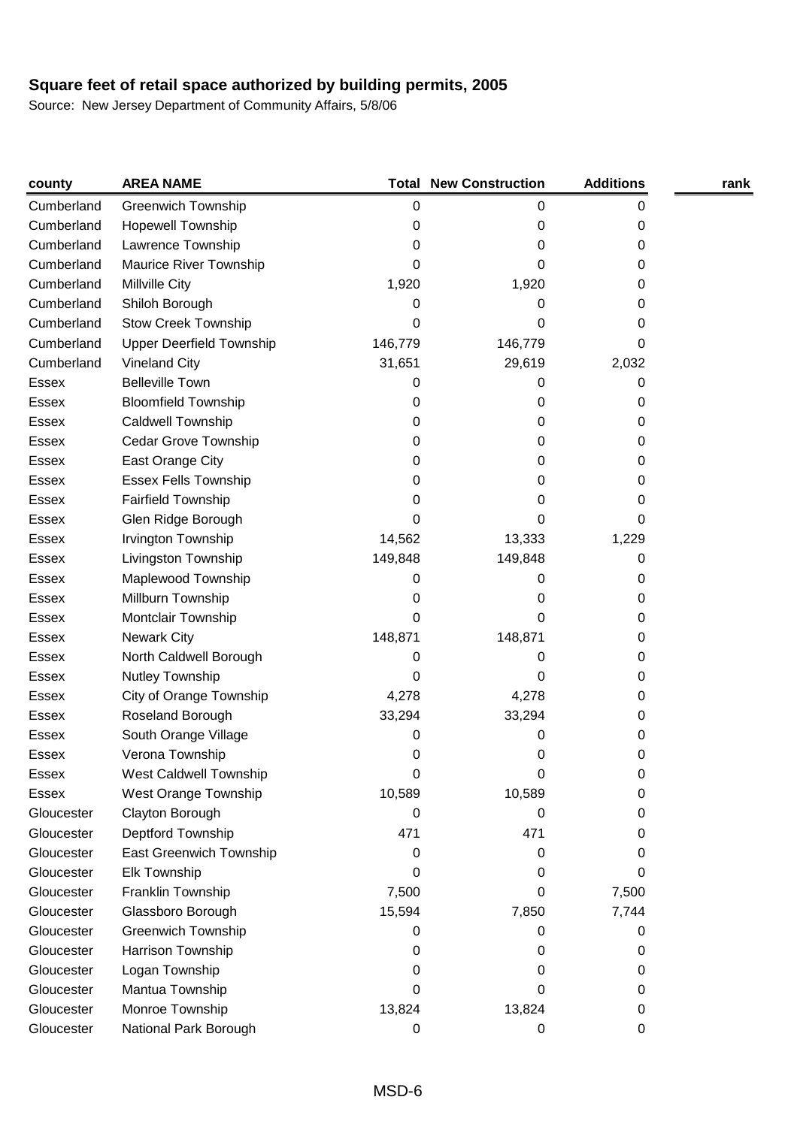| county       | <b>AREA NAME</b>                |         | <b>Total New Construction</b> | <b>Additions</b> | rank |
|--------------|---------------------------------|---------|-------------------------------|------------------|------|
| Cumberland   | <b>Greenwich Township</b>       | 0       | 0                             | 0                |      |
| Cumberland   | <b>Hopewell Township</b>        | 0       | 0                             | 0                |      |
| Cumberland   | Lawrence Township               | 0       | 0                             | 0                |      |
| Cumberland   | <b>Maurice River Township</b>   | 0       | 0                             | 0                |      |
| Cumberland   | Millville City                  | 1,920   | 1,920                         | 0                |      |
| Cumberland   | Shiloh Borough                  | 0       | 0                             | 0                |      |
| Cumberland   | <b>Stow Creek Township</b>      | 0       | 0                             | 0                |      |
| Cumberland   | <b>Upper Deerfield Township</b> | 146,779 | 146,779                       | 0                |      |
| Cumberland   | <b>Vineland City</b>            | 31,651  | 29,619                        | 2,032            |      |
| Essex        | <b>Belleville Town</b>          | 0       | 0                             | 0                |      |
| Essex        | <b>Bloomfield Township</b>      | 0       | 0                             | 0                |      |
| Essex        | Caldwell Township               | 0       | 0                             | 0                |      |
| Essex        | Cedar Grove Township            | 0       | 0                             | 0                |      |
| Essex        | East Orange City                | 0       | 0                             | 0                |      |
| Essex        | <b>Essex Fells Township</b>     | 0       | 0                             | 0                |      |
| Essex        | <b>Fairfield Township</b>       | 0       | 0                             | 0                |      |
| Essex        | Glen Ridge Borough              | 0       | Ω                             | 0                |      |
| Essex        | Irvington Township              | 14,562  | 13,333                        | 1,229            |      |
| Essex        | Livingston Township             | 149,848 | 149,848                       | 0                |      |
| Essex        | Maplewood Township              | 0       | 0                             | 0                |      |
| Essex        | Millburn Township               | 0       | 0                             | 0                |      |
| Essex        | Montclair Township              | 0       | 0                             | 0                |      |
| Essex        | <b>Newark City</b>              | 148,871 | 148,871                       | 0                |      |
| <b>Essex</b> | North Caldwell Borough          | 0       | 0                             | 0                |      |
| Essex        | Nutley Township                 | 0       | 0                             | 0                |      |
| Essex        | City of Orange Township         | 4,278   | 4,278                         | 0                |      |
| Essex        | Roseland Borough                | 33,294  | 33,294                        | 0                |      |
| <b>Essex</b> | South Orange Village            | 0       | 0                             | 0                |      |
| <b>Essex</b> | Verona Township                 | 0       | 0                             | 0                |      |
| Essex        | West Caldwell Township          | 0       | 0                             | O                |      |
| Essex        | West Orange Township            | 10,589  | 10,589                        | 0                |      |
| Gloucester   | Clayton Borough                 | 0       | 0                             | 0                |      |
| Gloucester   | Deptford Township               | 471     | 471                           | 0                |      |
| Gloucester   | East Greenwich Township         | 0       | 0                             | 0                |      |
| Gloucester   | Elk Township                    | 0       | 0                             | 0                |      |
| Gloucester   | Franklin Township               | 7,500   | 0                             | 7,500            |      |
| Gloucester   | Glassboro Borough               | 15,594  | 7,850                         | 7,744            |      |
| Gloucester   | <b>Greenwich Township</b>       | 0       | 0                             | 0                |      |
| Gloucester   | Harrison Township               | 0       | 0                             | 0                |      |
| Gloucester   | Logan Township                  | 0       | 0                             | 0                |      |
| Gloucester   | Mantua Township                 | 0       | 0                             | 0                |      |
| Gloucester   | Monroe Township                 | 13,824  | 13,824                        | 0                |      |
| Gloucester   | National Park Borough           | 0       | 0                             | 0                |      |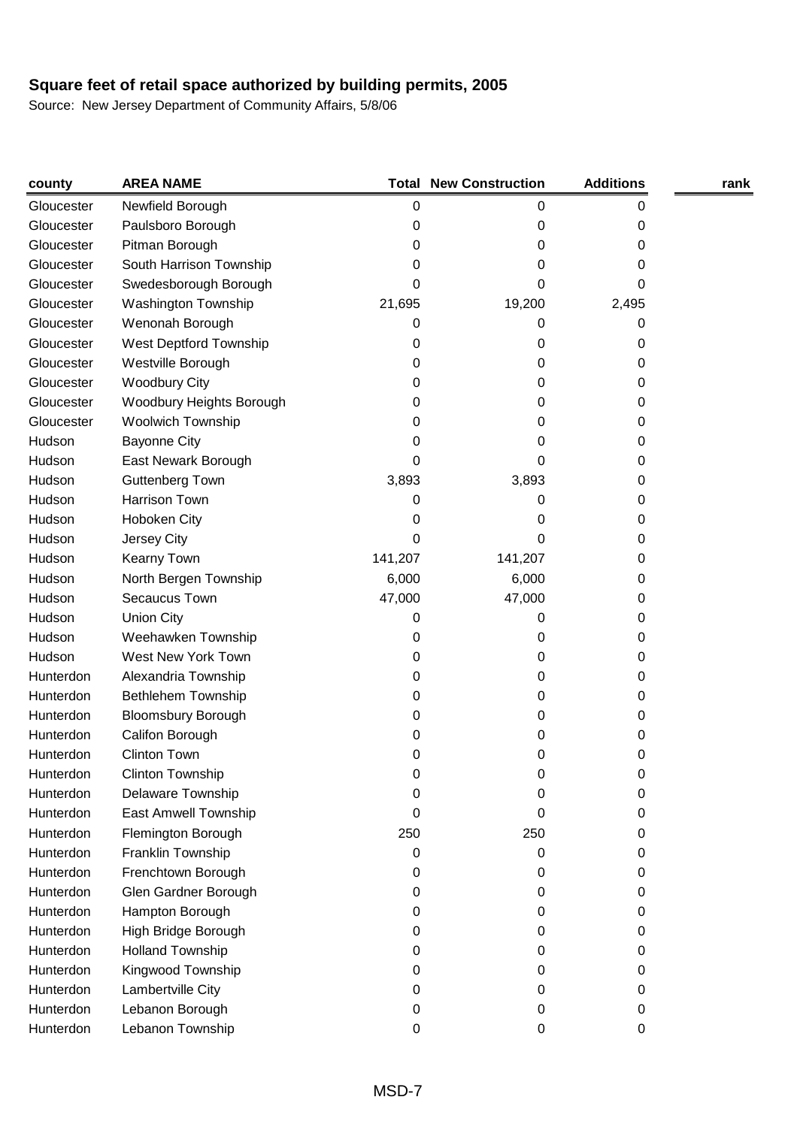| county     | <b>AREA NAME</b>           |         | <b>Total New Construction</b> | <b>Additions</b> | rank |
|------------|----------------------------|---------|-------------------------------|------------------|------|
| Gloucester | Newfield Borough           | 0       | 0                             | 0                |      |
| Gloucester | Paulsboro Borough          | 0       | 0                             | 0                |      |
| Gloucester | Pitman Borough             | 0       | 0                             | 0                |      |
| Gloucester | South Harrison Township    | 0       | 0                             | 0                |      |
| Gloucester | Swedesborough Borough      | 0       | 0                             | 0                |      |
| Gloucester | <b>Washington Township</b> | 21,695  | 19,200                        | 2,495            |      |
| Gloucester | Wenonah Borough            | 0       | 0                             | 0                |      |
| Gloucester | West Deptford Township     | 0       | 0                             | 0                |      |
| Gloucester | Westville Borough          | 0       | 0                             | 0                |      |
| Gloucester | <b>Woodbury City</b>       | 0       | 0                             | 0                |      |
| Gloucester | Woodbury Heights Borough   | 0       | 0                             | 0                |      |
| Gloucester | <b>Woolwich Township</b>   | 0       | 0                             | 0                |      |
| Hudson     | <b>Bayonne City</b>        | 0       | 0                             | 0                |      |
| Hudson     | East Newark Borough        | 0       | 0                             | 0                |      |
| Hudson     | <b>Guttenberg Town</b>     | 3,893   | 3,893                         | 0                |      |
| Hudson     | Harrison Town              | 0       | 0                             | 0                |      |
| Hudson     | Hoboken City               | 0       | 0                             | 0                |      |
| Hudson     | Jersey City                | 0       | 0                             | 0                |      |
| Hudson     | Kearny Town                | 141,207 | 141,207                       | 0                |      |
| Hudson     | North Bergen Township      | 6,000   | 6,000                         | 0                |      |
| Hudson     | Secaucus Town              | 47,000  | 47,000                        | 0                |      |
| Hudson     | <b>Union City</b>          | 0       | 0                             | 0                |      |
| Hudson     | Weehawken Township         | 0       | 0                             | 0                |      |
| Hudson     | West New York Town         | 0       | 0                             | 0                |      |
| Hunterdon  | Alexandria Township        | 0       | 0                             | 0                |      |
| Hunterdon  | Bethlehem Township         | 0       | 0                             | 0                |      |
| Hunterdon  | <b>Bloomsbury Borough</b>  | 0       | 0                             | 0                |      |
| Hunterdon  | Califon Borough            | 0       | 0                             | 0                |      |
| Hunterdon  | Clinton Town               | 0       | 0                             | 0                |      |
| Hunterdon  | <b>Clinton Township</b>    | O       | 0                             | 0                |      |
| Hunterdon  | Delaware Township          | 0       | 0                             | 0                |      |
| Hunterdon  | East Amwell Township       | 0       | 0                             | 0                |      |
| Hunterdon  | Flemington Borough         | 250     | 250                           | 0                |      |
| Hunterdon  | Franklin Township          | 0       | 0                             | 0                |      |
| Hunterdon  | Frenchtown Borough         | 0       | 0                             | 0                |      |
| Hunterdon  | Glen Gardner Borough       | 0       | 0                             | 0                |      |
| Hunterdon  | Hampton Borough            | 0       | 0                             | 0                |      |
| Hunterdon  | High Bridge Borough        | 0       | 0                             | 0                |      |
| Hunterdon  | <b>Holland Township</b>    | 0       | 0                             | 0                |      |
| Hunterdon  | Kingwood Township          | 0       | 0                             | 0                |      |
| Hunterdon  | Lambertville City          | 0       | 0                             | 0                |      |
| Hunterdon  | Lebanon Borough            | 0       | 0                             | 0                |      |
| Hunterdon  | Lebanon Township           | 0       | 0                             | 0                |      |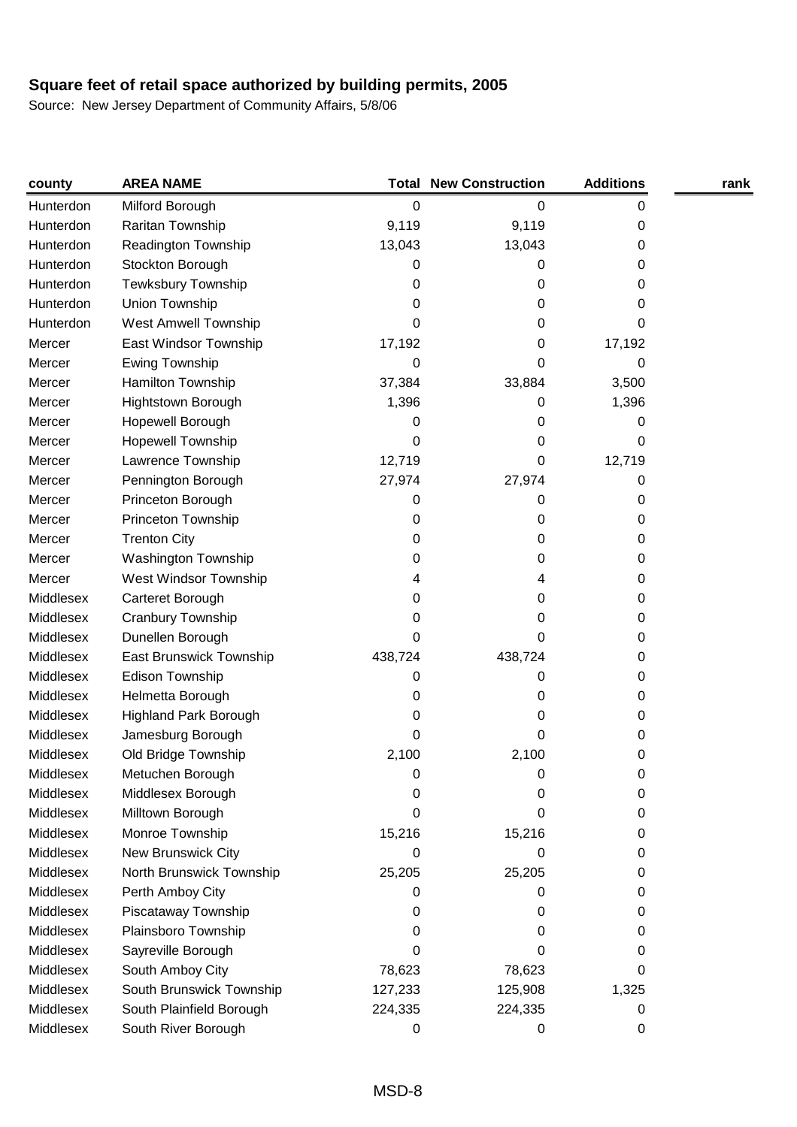| county    | <b>AREA NAME</b>               |         | <b>Total New Construction</b> | <b>Additions</b> | rank |
|-----------|--------------------------------|---------|-------------------------------|------------------|------|
| Hunterdon | Milford Borough                | 0       | 0                             | 0                |      |
| Hunterdon | Raritan Township               | 9,119   | 9,119                         | 0                |      |
| Hunterdon | Readington Township            | 13,043  | 13,043                        | 0                |      |
| Hunterdon | Stockton Borough               | 0       | 0                             | 0                |      |
| Hunterdon | <b>Tewksbury Township</b>      | 0       | 0                             | 0                |      |
| Hunterdon | Union Township                 | 0       | 0                             | 0                |      |
| Hunterdon | West Amwell Township           | 0       | 0                             | 0                |      |
| Mercer    | East Windsor Township          | 17,192  | 0                             | 17,192           |      |
| Mercer    | Ewing Township                 | 0       | 0                             | 0                |      |
| Mercer    | Hamilton Township              | 37,384  | 33,884                        | 3,500            |      |
| Mercer    | Hightstown Borough             | 1,396   | 0                             | 1,396            |      |
| Mercer    | Hopewell Borough               | 0       | 0                             | 0                |      |
| Mercer    | <b>Hopewell Township</b>       | 0       | 0                             | 0                |      |
| Mercer    | Lawrence Township              | 12,719  | 0                             | 12,719           |      |
| Mercer    | Pennington Borough             | 27,974  | 27,974                        | 0                |      |
| Mercer    | Princeton Borough              | 0       | 0                             | 0                |      |
| Mercer    | Princeton Township             | 0       | 0                             | 0                |      |
| Mercer    | <b>Trenton City</b>            | 0       | 0                             | 0                |      |
| Mercer    | <b>Washington Township</b>     | 0       | 0                             | 0                |      |
| Mercer    | West Windsor Township          | 4       | 4                             | 0                |      |
| Middlesex | Carteret Borough               | 0       | 0                             | 0                |      |
| Middlesex | Cranbury Township              | 0       | 0                             | 0                |      |
| Middlesex | Dunellen Borough               | 0       | 0                             | 0                |      |
| Middlesex | <b>East Brunswick Township</b> | 438,724 | 438,724                       | 0                |      |
| Middlesex | Edison Township                | 0       | 0                             | 0                |      |
| Middlesex | Helmetta Borough               | 0       | 0                             | 0                |      |
| Middlesex | Highland Park Borough          | 0       | 0                             | 0                |      |
| Middlesex | Jamesburg Borough              | 0       | 0                             | 0                |      |
| Middlesex | Old Bridge Township            | 2,100   | 2,100                         | 0                |      |
| Middlesex | Metuchen Borough               | O       | 0                             | O                |      |
| Middlesex | Middlesex Borough              | 0       | 0                             | 0                |      |
| Middlesex | Milltown Borough               | 0       | 0                             | 0                |      |
| Middlesex | Monroe Township                | 15,216  | 15,216                        | 0                |      |
| Middlesex | New Brunswick City             | 0       | 0                             | 0                |      |
| Middlesex | North Brunswick Township       | 25,205  | 25,205                        | 0                |      |
| Middlesex | Perth Amboy City               | 0       | 0                             | 0                |      |
| Middlesex | Piscataway Township            | 0       | 0                             | 0                |      |
| Middlesex | Plainsboro Township            | 0       | 0                             | 0                |      |
| Middlesex | Sayreville Borough             | 0       | 0                             | 0                |      |
| Middlesex | South Amboy City               | 78,623  | 78,623                        | 0                |      |
| Middlesex | South Brunswick Township       | 127,233 | 125,908                       | 1,325            |      |
| Middlesex | South Plainfield Borough       | 224,335 | 224,335                       | 0                |      |
| Middlesex | South River Borough            | 0       | 0                             | 0                |      |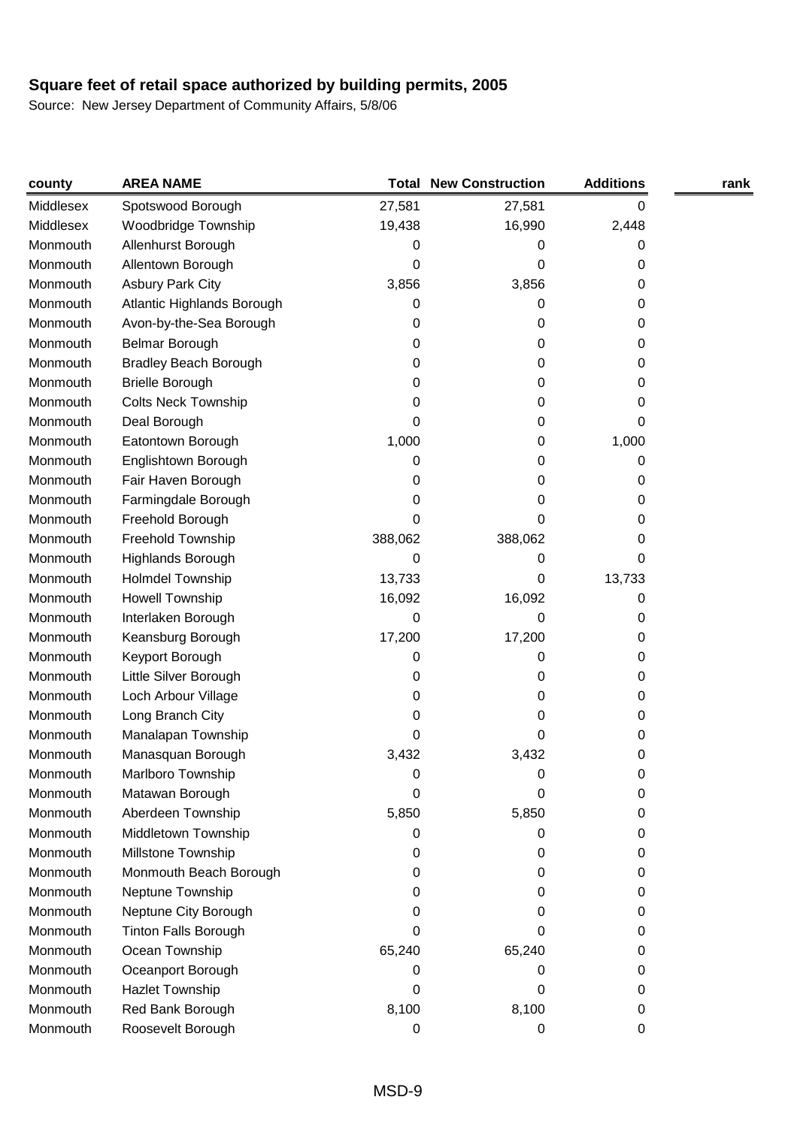| county    | <b>AREA NAME</b>             | Total   | <b>New Construction</b> | <b>Additions</b> | rank |
|-----------|------------------------------|---------|-------------------------|------------------|------|
| Middlesex | Spotswood Borough            | 27,581  | 27,581                  | 0                |      |
| Middlesex | Woodbridge Township          | 19,438  | 16,990                  | 2,448            |      |
| Monmouth  | Allenhurst Borough           | 0       | 0                       | 0                |      |
| Monmouth  | Allentown Borough            | 0       | 0                       | 0                |      |
| Monmouth  | <b>Asbury Park City</b>      | 3,856   | 3,856                   | 0                |      |
| Monmouth  | Atlantic Highlands Borough   | 0       | 0                       | 0                |      |
| Monmouth  | Avon-by-the-Sea Borough      | 0       | 0                       | 0                |      |
| Monmouth  | <b>Belmar Borough</b>        | 0       | 0                       | 0                |      |
| Monmouth  | <b>Bradley Beach Borough</b> | 0       | 0                       | 0                |      |
| Monmouth  | <b>Brielle Borough</b>       | 0       | 0                       | 0                |      |
| Monmouth  | <b>Colts Neck Township</b>   | 0       | 0                       | 0                |      |
| Monmouth  | Deal Borough                 | 0       | 0                       | 0                |      |
| Monmouth  | Eatontown Borough            | 1,000   | 0                       | 1,000            |      |
| Monmouth  | Englishtown Borough          | 0       | 0                       | 0                |      |
| Monmouth  | Fair Haven Borough           | 0       | 0                       | 0                |      |
| Monmouth  | Farmingdale Borough          | 0       | 0                       | 0                |      |
| Monmouth  | Freehold Borough             | 0       | 0                       | 0                |      |
| Monmouth  | Freehold Township            | 388,062 | 388,062                 | 0                |      |
| Monmouth  | Highlands Borough            | 0       | 0                       | 0                |      |
| Monmouth  | Holmdel Township             | 13,733  | 0                       | 13,733           |      |
| Monmouth  | <b>Howell Township</b>       | 16,092  | 16,092                  | 0                |      |
| Monmouth  | Interlaken Borough           | 0       | 0                       | 0                |      |
| Monmouth  | Keansburg Borough            | 17,200  | 17,200                  | 0                |      |
| Monmouth  | Keyport Borough              | 0       | 0                       | 0                |      |
| Monmouth  | Little Silver Borough        | 0       | 0                       | 0                |      |
| Monmouth  | Loch Arbour Village          | 0       | 0                       | 0                |      |
| Monmouth  | Long Branch City             | 0       | 0                       | 0                |      |
| Monmouth  | Manalapan Township           | 0       | 0                       | 0                |      |
| Monmouth  | Manasquan Borough            | 3,432   | 3,432                   | 0                |      |
| Monmouth  | Marlboro Township            | 0       | 0                       | 0                |      |
| Monmouth  | Matawan Borough              | 0       | 0                       | 0                |      |
| Monmouth  | Aberdeen Township            | 5,850   | 5,850                   | 0                |      |
| Monmouth  | Middletown Township          | 0       | 0                       | 0                |      |
| Monmouth  | Millstone Township           | 0       | 0                       | 0                |      |
| Monmouth  | Monmouth Beach Borough       | 0       | 0                       | 0                |      |
| Monmouth  | Neptune Township             | 0       | 0                       | 0                |      |
| Monmouth  | Neptune City Borough         | O       | 0                       | 0                |      |
| Monmouth  | <b>Tinton Falls Borough</b>  | 0       | 0                       | 0                |      |
| Monmouth  | Ocean Township               | 65,240  | 65,240                  | 0                |      |
| Monmouth  | Oceanport Borough            | 0       | 0                       | 0                |      |
| Monmouth  | Hazlet Township              | 0       | 0                       | 0                |      |
| Monmouth  | Red Bank Borough             | 8,100   | 8,100                   | 0                |      |
| Monmouth  | Roosevelt Borough            | 0       | 0                       | 0                |      |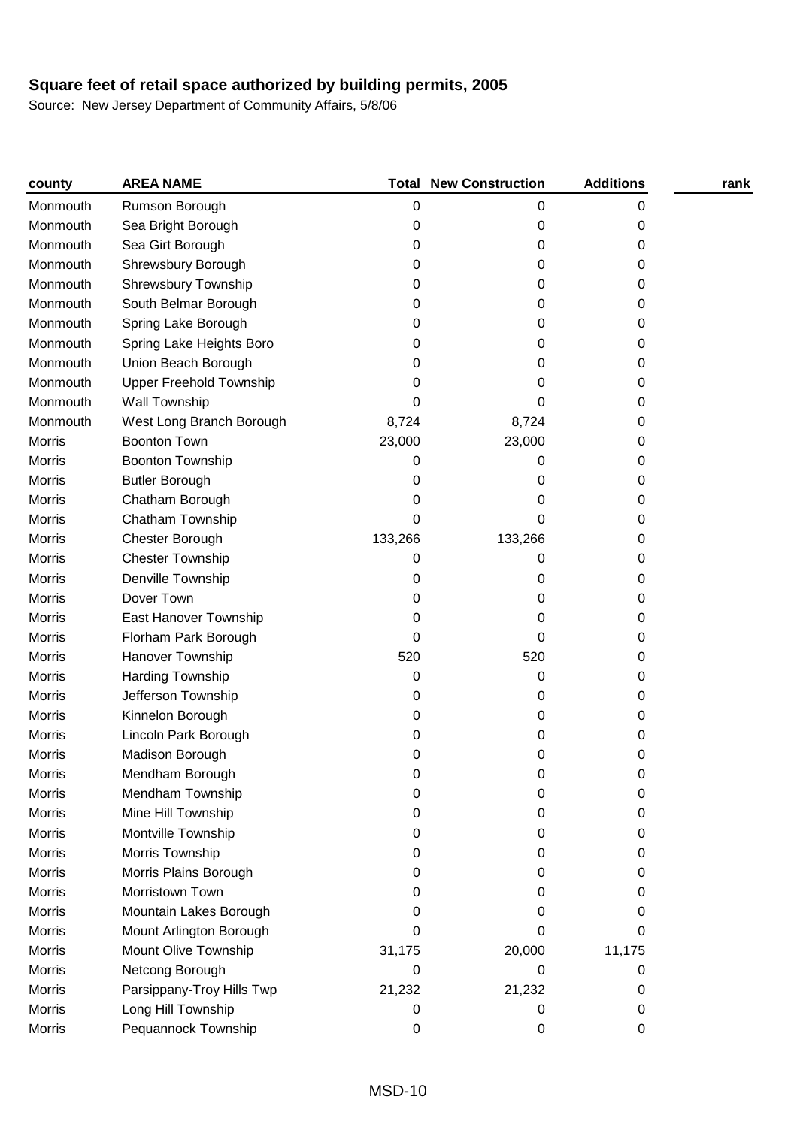| county        | <b>AREA NAME</b>          |         | <b>Total New Construction</b> | <b>Additions</b> | rank |
|---------------|---------------------------|---------|-------------------------------|------------------|------|
| Monmouth      | Rumson Borough            | 0       | 0                             | 0                |      |
| Monmouth      | Sea Bright Borough        | 0       | 0                             | 0                |      |
| Monmouth      | Sea Girt Borough          | 0       | 0                             | 0                |      |
| Monmouth      | Shrewsbury Borough        | 0       | 0                             | 0                |      |
| Monmouth      | Shrewsbury Township       | 0       | 0                             | 0                |      |
| Monmouth      | South Belmar Borough      | 0       | 0                             | 0                |      |
| Monmouth      | Spring Lake Borough       | 0       | 0                             | 0                |      |
| Monmouth      | Spring Lake Heights Boro  | 0       | 0                             | 0                |      |
| Monmouth      | Union Beach Borough       | 0       | 0                             | 0                |      |
| Monmouth      | Upper Freehold Township   | 0       | 0                             | 0                |      |
| Monmouth      | Wall Township             | 0       | 0                             | 0                |      |
| Monmouth      | West Long Branch Borough  | 8,724   | 8,724                         | 0                |      |
| Morris        | <b>Boonton Town</b>       | 23,000  | 23,000                        | 0                |      |
| <b>Morris</b> | Boonton Township          | 0       | 0                             | 0                |      |
| <b>Morris</b> | <b>Butler Borough</b>     | 0       | 0                             | 0                |      |
| <b>Morris</b> | Chatham Borough           | 0       | O                             | 0                |      |
| <b>Morris</b> | Chatham Township          | 0       | 0                             | 0                |      |
| Morris        | Chester Borough           | 133,266 | 133,266                       | 0                |      |
| <b>Morris</b> | <b>Chester Township</b>   | 0       | 0                             | 0                |      |
| <b>Morris</b> | Denville Township         | 0       | 0                             | 0                |      |
| <b>Morris</b> | Dover Town                | 0       | 0                             | 0                |      |
| <b>Morris</b> | East Hanover Township     | 0       | 0                             | 0                |      |
| <b>Morris</b> | Florham Park Borough      | 0       | 0                             | 0                |      |
| <b>Morris</b> | Hanover Township          | 520     | 520                           | 0                |      |
| <b>Morris</b> | Harding Township          | 0       | 0                             | 0                |      |
| <b>Morris</b> | Jefferson Township        | 0       | 0                             | 0                |      |
| Morris        | Kinnelon Borough          | 0       | 0                             | 0                |      |
| <b>Morris</b> | Lincoln Park Borough      | 0       | 0                             | 0                |      |
| Morris        | Madison Borough           | 0       | 0                             | 0                |      |
| Morris        | Mendham Borough           | O       | U                             | 0                |      |
| <b>Morris</b> | Mendham Township          | 0       | 0                             | 0                |      |
| <b>Morris</b> | Mine Hill Township        | 0       | 0                             | 0                |      |
| <b>Morris</b> | Montville Township        | 0       | 0                             | 0                |      |
| Morris        | Morris Township           | 0       | 0                             | 0                |      |
| Morris        | Morris Plains Borough     | 0       | 0                             | 0                |      |
| Morris        | Morristown Town           | 0       | 0                             | 0                |      |
| <b>Morris</b> | Mountain Lakes Borough    | 0       | 0                             | 0                |      |
| Morris        | Mount Arlington Borough   | 0       | 0                             | 0                |      |
| Morris        | Mount Olive Township      | 31,175  | 20,000                        | 11,175           |      |
| <b>Morris</b> | Netcong Borough           | 0       | 0                             | 0                |      |
| Morris        | Parsippany-Troy Hills Twp | 21,232  | 21,232                        | 0                |      |
| <b>Morris</b> | Long Hill Township        | 0       | 0                             | 0                |      |
| Morris        | Pequannock Township       | 0       | 0                             | 0                |      |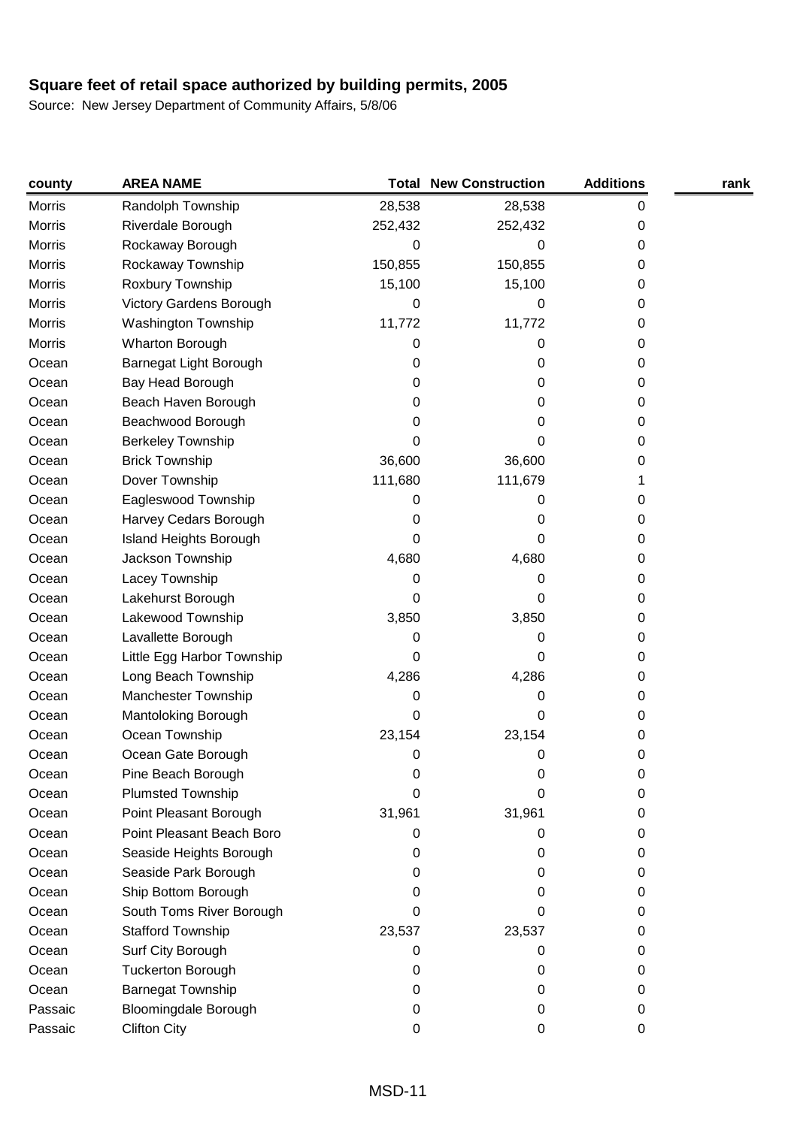| county  | <b>AREA NAME</b>            |         | <b>Total New Construction</b> | <b>Additions</b> | rank |
|---------|-----------------------------|---------|-------------------------------|------------------|------|
| Morris  | Randolph Township           | 28,538  | 28,538                        | 0                |      |
| Morris  | Riverdale Borough           | 252,432 | 252,432                       | 0                |      |
| Morris  | Rockaway Borough            | 0       | 0                             | 0                |      |
| Morris  | Rockaway Township           | 150,855 | 150,855                       | 0                |      |
| Morris  | Roxbury Township            | 15,100  | 15,100                        | 0                |      |
| Morris  | Victory Gardens Borough     | 0       | 0                             | 0                |      |
| Morris  | <b>Washington Township</b>  | 11,772  | 11,772                        | 0                |      |
| Morris  | Wharton Borough             | 0       | 0                             | 0                |      |
| Ocean   | Barnegat Light Borough      | 0       | 0                             | 0                |      |
| Ocean   | Bay Head Borough            | 0       | 0                             | 0                |      |
| Ocean   | Beach Haven Borough         | 0       | 0                             | 0                |      |
| Ocean   | Beachwood Borough           | 0       | 0                             | 0                |      |
| Ocean   | <b>Berkeley Township</b>    | 0       | 0                             | 0                |      |
| Ocean   | <b>Brick Township</b>       | 36,600  | 36,600                        | 0                |      |
| Ocean   | Dover Township              | 111,680 | 111,679                       |                  |      |
| Ocean   | Eagleswood Township         | 0       | 0                             | 0                |      |
| Ocean   | Harvey Cedars Borough       | 0       | 0                             | 0                |      |
| Ocean   | Island Heights Borough      | 0       | 0                             | 0                |      |
| Ocean   | Jackson Township            | 4,680   | 4,680                         | 0                |      |
| Ocean   | Lacey Township              | 0       | 0                             | 0                |      |
| Ocean   | Lakehurst Borough           | 0       | 0                             | 0                |      |
| Ocean   | Lakewood Township           | 3,850   | 3,850                         | 0                |      |
| Ocean   | Lavallette Borough          | 0       | 0                             | 0                |      |
| Ocean   | Little Egg Harbor Township  | 0       | 0                             | 0                |      |
| Ocean   | Long Beach Township         | 4,286   | 4,286                         | 0                |      |
| Ocean   | Manchester Township         | 0       | 0                             | 0                |      |
| Ocean   | Mantoloking Borough         | 0       | 0                             | 0                |      |
| Ocean   | Ocean Township              | 23,154  | 23,154                        | 0                |      |
| Ocean   | Ocean Gate Borough          | 0       | 0                             | 0                |      |
| Ocean   | Pine Beach Borough          |         | 0                             | 0                |      |
| Ocean   | <b>Plumsted Township</b>    | 0       | 0                             | 0                |      |
| Ocean   | Point Pleasant Borough      | 31,961  | 31,961                        | 0                |      |
| Ocean   | Point Pleasant Beach Boro   | 0       | 0                             | 0                |      |
| Ocean   | Seaside Heights Borough     | 0       | 0                             | 0                |      |
| Ocean   | Seaside Park Borough        | 0       | 0                             | 0                |      |
| Ocean   | Ship Bottom Borough         | 0       | 0                             | 0                |      |
| Ocean   | South Toms River Borough    | 0       | 0                             | 0                |      |
| Ocean   | <b>Stafford Township</b>    | 23,537  | 23,537                        | 0                |      |
| Ocean   | Surf City Borough           | 0       | 0                             | 0                |      |
| Ocean   | <b>Tuckerton Borough</b>    | 0       | 0                             | 0                |      |
| Ocean   | <b>Barnegat Township</b>    | 0       | 0                             | 0                |      |
| Passaic | <b>Bloomingdale Borough</b> | 0       | 0                             | 0                |      |
| Passaic | <b>Clifton City</b>         | 0       | 0                             | 0                |      |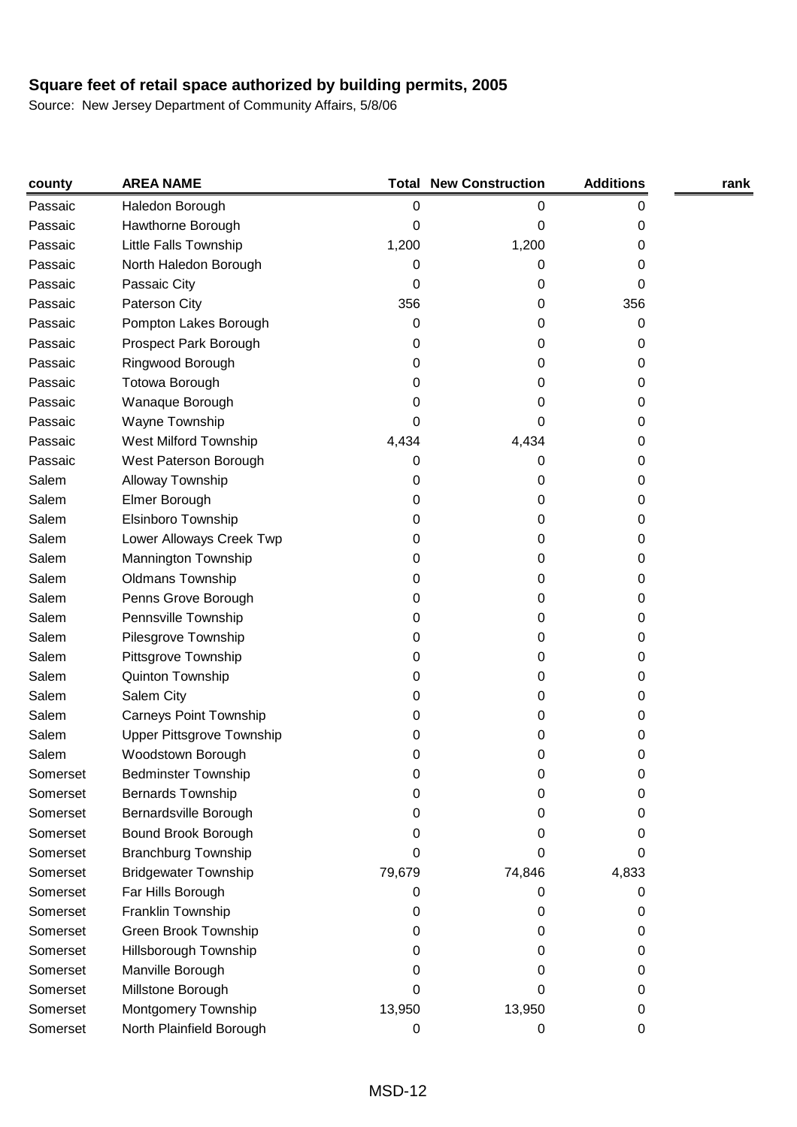| county   | <b>AREA NAME</b>                 |        | <b>Total New Construction</b> | <b>Additions</b> | rank |
|----------|----------------------------------|--------|-------------------------------|------------------|------|
| Passaic  | Haledon Borough                  | 0      | 0                             | 0                |      |
| Passaic  | Hawthorne Borough                | 0      | 0                             | 0                |      |
| Passaic  | Little Falls Township            | 1,200  | 1,200                         | 0                |      |
| Passaic  | North Haledon Borough            | 0      | 0                             | 0                |      |
| Passaic  | Passaic City                     | 0      | 0                             | 0                |      |
| Passaic  | Paterson City                    | 356    | 0                             | 356              |      |
| Passaic  | Pompton Lakes Borough            | 0      | 0                             | 0                |      |
| Passaic  | Prospect Park Borough            | 0      | 0                             | 0                |      |
| Passaic  | Ringwood Borough                 | 0      | 0                             | 0                |      |
| Passaic  | Totowa Borough                   | 0      | 0                             | 0                |      |
| Passaic  | Wanaque Borough                  | 0      | 0                             | 0                |      |
| Passaic  | Wayne Township                   | 0      | 0                             | 0                |      |
| Passaic  | West Milford Township            | 4,434  | 4,434                         | 0                |      |
| Passaic  | West Paterson Borough            | 0      | 0                             | 0                |      |
| Salem    | Alloway Township                 | 0      | 0                             | 0                |      |
| Salem    | Elmer Borough                    | 0      | 0                             | 0                |      |
| Salem    | Elsinboro Township               | 0      | 0                             | 0                |      |
| Salem    | Lower Alloways Creek Twp         | 0      | 0                             | 0                |      |
| Salem    | Mannington Township              | 0      | 0                             | 0                |      |
| Salem    | <b>Oldmans Township</b>          | 0      | 0                             | 0                |      |
| Salem    | Penns Grove Borough              | 0      | 0                             | 0                |      |
| Salem    | Pennsville Township              | 0      | 0                             | 0                |      |
| Salem    | Pilesgrove Township              | 0      | 0                             | 0                |      |
| Salem    | Pittsgrove Township              | 0      | 0                             | 0                |      |
| Salem    | Quinton Township                 | 0      | 0                             | 0                |      |
| Salem    | Salem City                       | 0      | 0                             | 0                |      |
| Salem    | <b>Carneys Point Township</b>    | 0      | 0                             | 0                |      |
| Salem    | <b>Upper Pittsgrove Township</b> | 0      | 0                             | 0                |      |
| Salem    | Woodstown Borough                | 0      | 0                             | 0                |      |
| Somerset | <b>Bedminster Township</b>       | O      | 0                             | O                |      |
| Somerset | <b>Bernards Township</b>         | 0      | 0                             | 0                |      |
| Somerset | Bernardsville Borough            | O      | 0                             | 0                |      |
| Somerset | Bound Brook Borough              | 0      | Ω                             | 0                |      |
| Somerset | <b>Branchburg Township</b>       | 0      | 0                             | 0                |      |
| Somerset | <b>Bridgewater Township</b>      | 79,679 | 74,846                        | 4,833            |      |
| Somerset | Far Hills Borough                | 0      | 0                             | 0                |      |
| Somerset | Franklin Township                | O      | 0                             | 0                |      |
| Somerset | Green Brook Township             | 0      | 0                             | 0                |      |
| Somerset | Hillsborough Township            | O      | 0                             | 0                |      |
| Somerset | Manville Borough                 | O      | Ω                             | 0                |      |
| Somerset | Millstone Borough                | 0      | 0                             | 0                |      |
| Somerset | Montgomery Township              | 13,950 | 13,950                        | 0                |      |
| Somerset | North Plainfield Borough         | 0      | 0                             | 0                |      |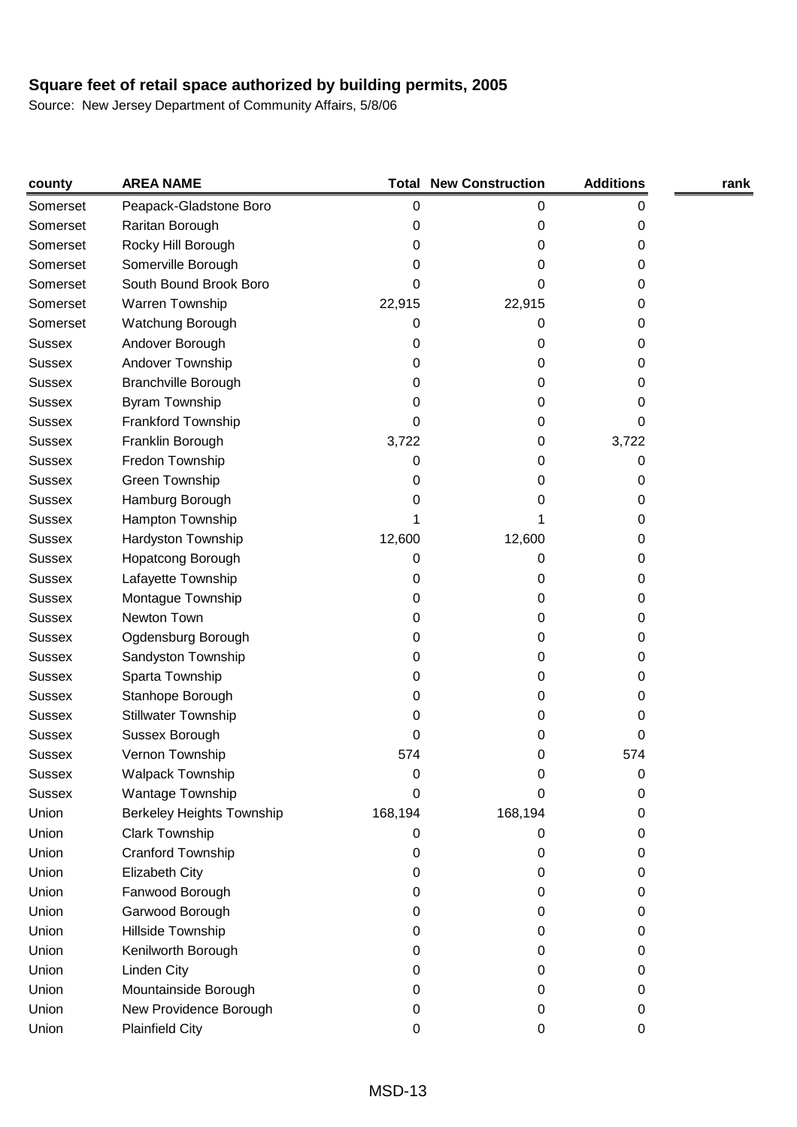| county        | <b>AREA NAME</b>           |           | <b>Total New Construction</b> | <b>Additions</b> | rank |
|---------------|----------------------------|-----------|-------------------------------|------------------|------|
| Somerset      | Peapack-Gladstone Boro     | $\pmb{0}$ | 0                             | 0                |      |
| Somerset      | Raritan Borough            | 0         | 0                             | 0                |      |
| Somerset      | Rocky Hill Borough         | 0         | 0                             | 0                |      |
| Somerset      | Somerville Borough         | 0         | 0                             | 0                |      |
| Somerset      | South Bound Brook Boro     | 0         | 0                             | 0                |      |
| Somerset      | Warren Township            | 22,915    | 22,915                        | 0                |      |
| Somerset      | Watchung Borough           | 0         | 0                             | 0                |      |
| <b>Sussex</b> | Andover Borough            | 0         | 0                             | 0                |      |
| <b>Sussex</b> | Andover Township           | 0         | 0                             | 0                |      |
| <b>Sussex</b> | <b>Branchville Borough</b> | 0         | 0                             | 0                |      |
| <b>Sussex</b> | Byram Township             | 0         | 0                             | 0                |      |
| <b>Sussex</b> | Frankford Township         | 0         | 0                             | 0                |      |
| <b>Sussex</b> | Franklin Borough           | 3,722     | 0                             | 3,722            |      |
| <b>Sussex</b> | Fredon Township            | 0         | 0                             | 0                |      |
| <b>Sussex</b> | Green Township             | 0         | 0                             | 0                |      |
| <b>Sussex</b> | Hamburg Borough            | 0         | 0                             | 0                |      |
| <b>Sussex</b> | Hampton Township           | 1         | 1                             | 0                |      |
| <b>Sussex</b> | Hardyston Township         | 12,600    | 12,600                        | 0                |      |
| <b>Sussex</b> | Hopatcong Borough          | 0         | 0                             | 0                |      |
| <b>Sussex</b> | Lafayette Township         | 0         | 0                             | 0                |      |
| <b>Sussex</b> | Montague Township          | 0         | 0                             | 0                |      |
| <b>Sussex</b> | Newton Town                | 0         | 0                             | 0                |      |
| <b>Sussex</b> | Ogdensburg Borough         | 0         | 0                             | 0                |      |
| <b>Sussex</b> | Sandyston Township         | 0         | 0                             | 0                |      |
| <b>Sussex</b> | Sparta Township            | 0         | 0                             | 0                |      |
| <b>Sussex</b> | Stanhope Borough           | 0         | 0                             | 0                |      |
| <b>Sussex</b> | Stillwater Township        | 0         | 0                             | 0                |      |
| <b>Sussex</b> | Sussex Borough             | 0         | 0                             | 0                |      |
| <b>Sussex</b> | Vernon Township            | 574       | 0                             | 574              |      |
| Sussex        | Walpack Township           | 0         | 0                             | 0                |      |
| <b>Sussex</b> | Wantage Township           | 0         | 0                             | 0                |      |
| Union         | Berkeley Heights Township  | 168,194   | 168,194                       | 0                |      |
| Union         | Clark Township             | 0         | 0                             | 0                |      |
| Union         | <b>Cranford Township</b>   | 0         | 0                             | 0                |      |
| Union         | <b>Elizabeth City</b>      | 0         | 0                             | 0                |      |
| Union         | Fanwood Borough            | 0         | 0                             | 0                |      |
| Union         | Garwood Borough            | 0         | 0                             | 0                |      |
| Union         | Hillside Township          | 0         | 0                             | 0                |      |
| Union         | Kenilworth Borough         | 0         | 0                             | 0                |      |
| Union         | <b>Linden City</b>         | 0         | 0                             | 0                |      |
| Union         | Mountainside Borough       | 0         | 0                             | 0                |      |
| Union         | New Providence Borough     | 0         | 0                             | 0                |      |
| Union         | <b>Plainfield City</b>     | $\pmb{0}$ | 0                             | 0                |      |